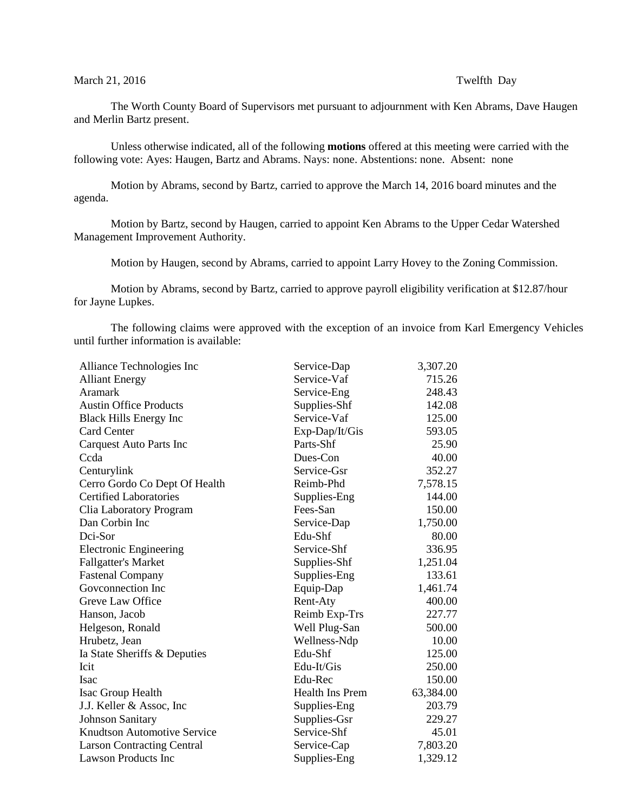## March 21, 2016 **Twelfth** Day

The Worth County Board of Supervisors met pursuant to adjournment with Ken Abrams, Dave Haugen and Merlin Bartz present.

Unless otherwise indicated, all of the following **motions** offered at this meeting were carried with the following vote: Ayes: Haugen, Bartz and Abrams. Nays: none. Abstentions: none. Absent: none

Motion by Abrams, second by Bartz, carried to approve the March 14, 2016 board minutes and the agenda.

Motion by Bartz, second by Haugen, carried to appoint Ken Abrams to the Upper Cedar Watershed Management Improvement Authority.

Motion by Haugen, second by Abrams, carried to appoint Larry Hovey to the Zoning Commission.

Motion by Abrams, second by Bartz, carried to approve payroll eligibility verification at \$12.87/hour for Jayne Lupkes.

The following claims were approved with the exception of an invoice from Karl Emergency Vehicles until further information is available:

| Service-Dap     | 3,307.20  |
|-----------------|-----------|
| Service-Vaf     | 715.26    |
| Service-Eng     | 248.43    |
| Supplies-Shf    | 142.08    |
| Service-Vaf     | 125.00    |
| Exp-Dap/It/Gis  | 593.05    |
| Parts-Shf       | 25.90     |
| Dues-Con        | 40.00     |
| Service-Gsr     | 352.27    |
| Reimb-Phd       | 7,578.15  |
| Supplies-Eng    | 144.00    |
| Fees-San        | 150.00    |
| Service-Dap     | 1,750.00  |
| Edu-Shf         | 80.00     |
| Service-Shf     | 336.95    |
| Supplies-Shf    | 1,251.04  |
| Supplies-Eng    | 133.61    |
| Equip-Dap       | 1,461.74  |
| Rent-Aty        | 400.00    |
| Reimb Exp-Trs   | 227.77    |
| Well Plug-San   | 500.00    |
| Wellness-Ndp    | 10.00     |
| Edu-Shf         | 125.00    |
| Edu-It/Gis      | 250.00    |
| Edu-Rec         | 150.00    |
| Health Ins Prem | 63,384.00 |
| Supplies-Eng    | 203.79    |
| Supplies-Gsr    | 229.27    |
| Service-Shf     | 45.01     |
| Service-Cap     | 7,803.20  |
| Supplies-Eng    | 1,329.12  |
|                 |           |